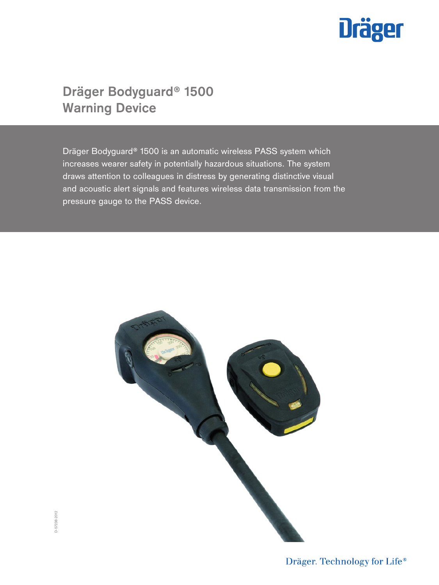

# **Dräger Bodyguard® 1500 Warning Device**

Dräger Bodyguard® 1500 is an automatic wireless PASS system which increases wearer safety in potentially hazardous situations. The system draws attention to colleagues in distress by generating distinctive visual and acoustic alert signals and features wireless data transmission from the pressure gauge to the PASS device.



Dräger. Technology for Life®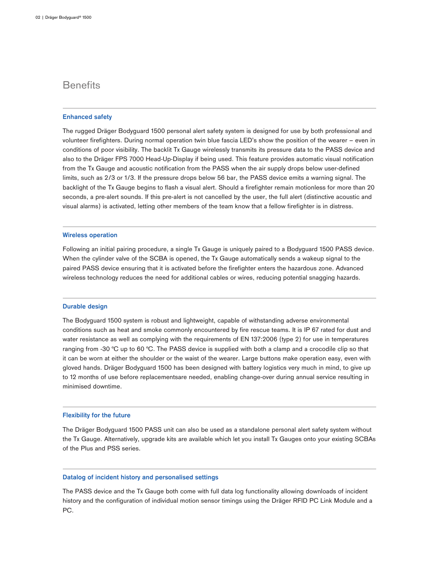## **Benefits**

#### **Enhanced safety**

The rugged Dräger Bodyguard 1500 personal alert safety system is designed for use by both professional and volunteer firefighters. During normal operation twin blue fascia LED's show the position of the wearer – even in conditions of poor visibility. The backlit Tx Gauge wirelessly transmits its pressure data to the PASS device and also to the Dräger FPS 7000 Head-Up-Display if being used. This feature provides automatic visual notification from the Tx Gauge and acoustic notification from the PASS when the air supply drops below user-defined limits, such as 2/3 or 1/3. If the pressure drops below 56 bar, the PASS device emits a warning signal. The backlight of the Tx Gauge begins to flash a visual alert. Should a firefighter remain motionless for more than 20 seconds, a pre-alert sounds. If this pre-alert is not cancelled by the user, the full alert (distinctive acoustic and visual alarms) is activated, letting other members of the team know that a fellow firefighter is in distress.

#### **Wireless operation**

Following an initial pairing procedure, a single Tx Gauge is uniquely paired to a Bodyguard 1500 PASS device. When the cylinder valve of the SCBA is opened, the Tx Gauge automatically sends a wakeup signal to the paired PASS device ensuring that it is activated before the firefighter enters the hazardous zone. Advanced wireless technology reduces the need for additional cables or wires, reducing potential snagging hazards.

#### **Durable design**

The Bodyguard 1500 system is robust and lightweight, capable of withstanding adverse environmental conditions such as heat and smoke commonly encountered by fire rescue teams. It is IP 67 rated for dust and water resistance as well as complying with the requirements of EN 137:2006 (type 2) for use in temperatures ranging from -30 °C up to 60 °C. The PASS device is supplied with both a clamp and a crocodile clip so that it can be worn at either the shoulder or the waist of the wearer. Large buttons make operation easy, even with gloved hands. Dräger Bodyguard 1500 has been designed with battery logistics very much in mind, to give up to 12 months of use before replacementsare needed, enabling change-over during annual service resulting in minimised downtime.

#### **Flexibility for the future**

The Dräger Bodyguard 1500 PASS unit can also be used as a standalone personal alert safety system without the Tx Gauge. Alternatively, upgrade kits are available which let you install Tx Gauges onto your existing SCBAs of the Plus and PSS series.

#### **Datalog of incident history and personalised settings**

The PASS device and the Tx Gauge both come with full data log functionality allowing downloads of incident history and the configuration of individual motion sensor timings using the Dräger RFID PC Link Module and a PC.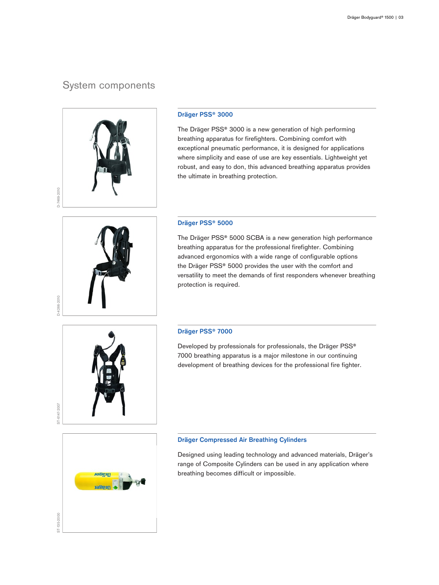# System components



#### **Dräger PSS® 3000**

The Dräger PSS® 3000 is a new generation of high performing breathing apparatus for firefighters. Combining comfort with exceptional pneumatic performance, it is designed for applications where simplicity and ease of use are key essentials. Lightweight yet robust, and easy to don, this advanced breathing apparatus provides the ultimate in breathing protection.

# D-4266-2010

#### **Dräger PSS® 5000**

The Dräger PSS® 5000 SCBA is a new generation high performance breathing apparatus for the professional firefighter. Combining advanced ergonomics with a wide range of configurable options the Dräger PSS® 5000 provides the user with the comfort and versatility to meet the demands of first responders whenever breathing protection is required.

### **Dräger PSS® 7000**

Developed by professionals for professionals, the Dräger PSS® 7000 breathing apparatus is a major milestone in our continuing development of breathing devices for the professional fire fighter.



#### **Dräger Compressed Air Breathing Cylinders**

Designed using leading technology and advanced materials, Dräger's range of Composite Cylinders can be used in any application where breathing becomes difficult or impossible.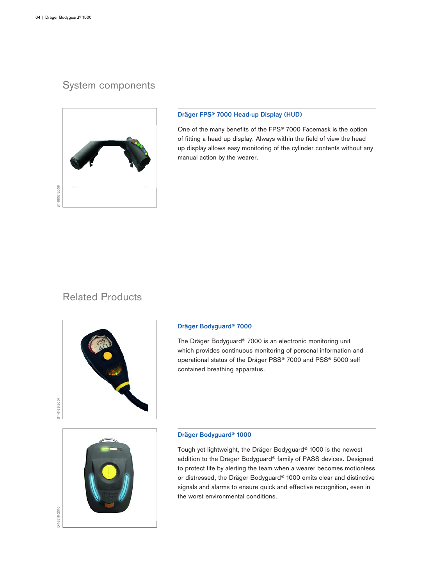# System components



#### **Dräger FPS® 7000 Head-up Display (HUD)**

One of the many benefits of the FPS® 7000 Facemask is the option of fitting a head up display. Always within the field of view the head up display allows easy monitoring of the cylinder contents without any manual action by the wearer.

# Related Products



#### **Dräger Bodyguard® 7000**

The Dräger Bodyguard® 7000 is an electronic monitoring unit which provides continuous monitoring of personal information and operational status of the Dräger PSS® 7000 and PSS® 5000 self contained breathing apparatus.



D-16516-2010

#### **Dräger Bodyguard® 1000**

Tough yet lightweight, the Dräger Bodyguard® 1000 is the newest addition to the Dräger Bodyguard® family of PASS devices. Designed to protect life by alerting the team when a wearer becomes motionless or distressed, the Dräger Bodyguard® 1000 emits clear and distinctive signals and alarms to ensure quick and effective recognition, even in the worst environmental conditions.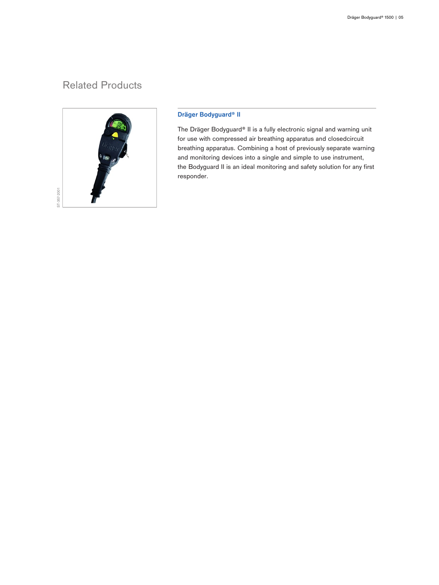# Related Products



#### **Dräger Bodyguard® II**

The Dräger Bodyguard® II is a fully electronic signal and warning unit for use with compressed air breathing apparatus and closedcircuit breathing apparatus. Combining a host of previously separate warning and monitoring devices into a single and simple to use instrument, the Bodyguard II is an ideal monitoring and safety solution for any first responder.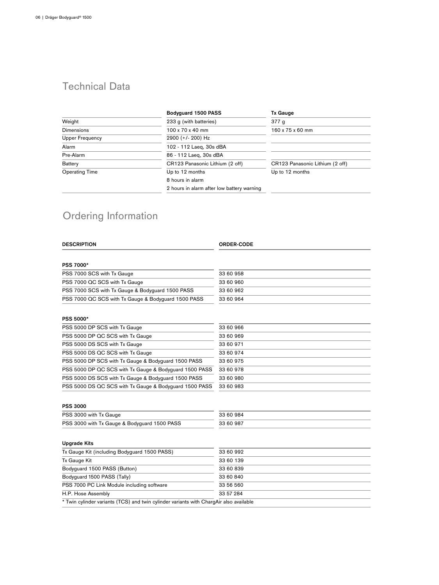# Technical Data

|                        | Bodyquard 1500 PASS                        | <b>Tx Gauge</b>                 |
|------------------------|--------------------------------------------|---------------------------------|
| Weight                 | 233 g (with batteries)                     | 377 g                           |
| <b>Dimensions</b>      | $100 \times 70 \times 40$ mm               | 160 x 75 x 60 mm                |
| <b>Upper Frequency</b> | 2900 (+/- 200) Hz                          |                                 |
| Alarm                  | 102 - 112 Laeg, 30s dBA                    |                                 |
| Pre-Alarm              | 86 - 112 Laeg, 30s dBA                     |                                 |
| <b>Battery</b>         | CR123 Panasonic Lithium (2 off)            | CR123 Panasonic Lithium (2 off) |
| <b>Operating Time</b>  | Up to 12 months                            | Up to 12 months                 |
|                        | 8 hours in alarm                           |                                 |
|                        | 2 hours in alarm after low battery warning |                                 |

# Ordering Information

| <b>DESCRIPTION</b>                                                                     | <b>ORDER-CODE</b> |
|----------------------------------------------------------------------------------------|-------------------|
|                                                                                        |                   |
| <b>PSS 7000*</b>                                                                       |                   |
| PSS 7000 SCS with Tx Gauge                                                             | 33 60 958         |
| PSS 7000 QC SCS with Tx Gauge                                                          | 33 60 960         |
| PSS 7000 SCS with Tx Gauge & Bodyguard 1500 PASS                                       | 33 60 962         |
| PSS 7000 QC SCS with Tx Gauge & Bodyguard 1500 PASS                                    | 33 60 964         |
| <b>PSS 5000*</b>                                                                       |                   |
| PSS 5000 DP SCS with Tx Gauge                                                          | 33 60 966         |
| PSS 5000 DP QC SCS with Tx Gauge                                                       | 33 60 969         |
| PSS 5000 DS SCS with Tx Gauge                                                          | 33 60 971         |
| PSS 5000 DS QC SCS with Tx Gauge                                                       | 33 60 974         |
| PSS 5000 DP SCS with Tx Gauge & Bodyguard 1500 PASS                                    | 33 60 975         |
| PSS 5000 DP QC SCS with Tx Gauge & Bodyguard 1500 PASS                                 | 33 60 978         |
| PSS 5000 DS SCS with Tx Gauge & Bodyguard 1500 PASS                                    | 33 60 980         |
| PSS 5000 DS QC SCS with Tx Gauge & Bodyguard 1500 PASS                                 | 33 60 983         |
| <b>PSS 3000</b>                                                                        |                   |
| PSS 3000 with Tx Gauge                                                                 | 33 60 984         |
| PSS 3000 with Tx Gauge & Bodyguard 1500 PASS                                           | 33 60 987         |
| <b>Upgrade Kits</b>                                                                    |                   |
| Tx Gauge Kit (including Bodyguard 1500 PASS)                                           | 33 60 992         |
| Tx Gauge Kit                                                                           | 33 60 139         |
| Bodyguard 1500 PASS (Button)                                                           | 33 60 839         |
| Bodyguard 1500 PASS (Tally)                                                            | 33 60 840         |
| PSS 7000 PC Link Module including software                                             | 33 56 560         |
| H.P. Hose Assembly                                                                     | 33 57 284         |
| * Twin cylinder variants (TCS) and twin cylinder variants with ChargAir also available |                   |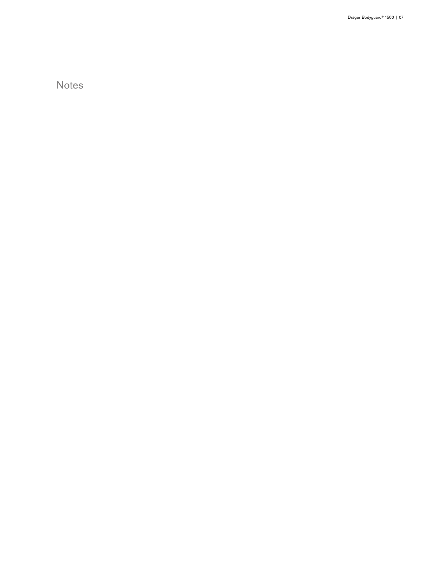Notes